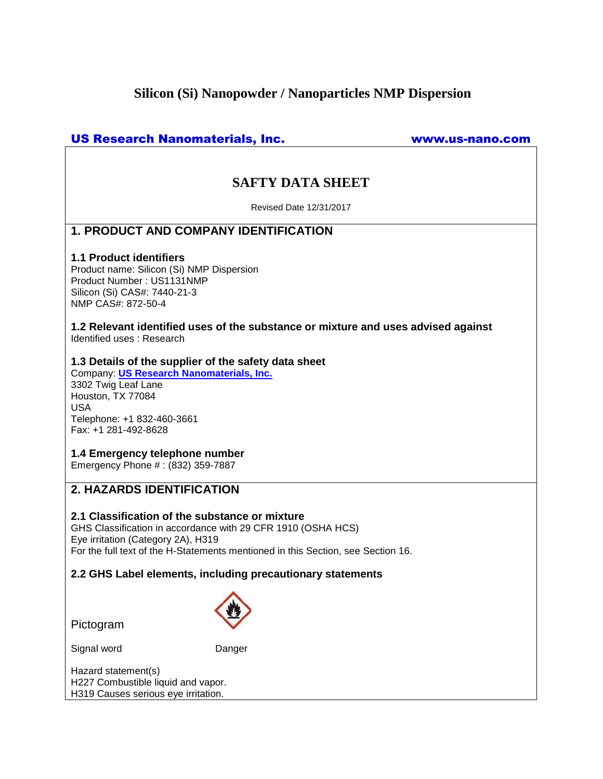# **Silicon (Si) Nanopowder / Nanoparticles NMP Dispersion**

## US Research Nanomaterials, Inc. www.us-nano.com

# **SAFTY DATA SHEET**

Revised Date 12/31/2017

## **1. PRODUCT AND COMPANY IDENTIFICATION**

### **1.1 Product identifiers**

Product name: Silicon (Si) NMP Dispersion Product Number : US1131NMP Silicon (Si) CAS#: 7440-21-3 NMP CAS#: 872-50-4

**1.2 Relevant identified uses of the substance or mixture and uses advised against** Identified uses : Research

### **1.3 Details of the supplier of the safety data sheet**

Company: **[US Research Nanomaterials, Inc.](http://www.us-nano.com/)** 3302 Twig Leaf Lane Houston, TX 77084 USA Telephone: +1 832-460-3661 Fax: +1 281-492-8628

## **1.4 Emergency telephone number**

Emergency Phone # : (832) 359-7887

## **2. HAZARDS IDENTIFICATION**

### **2.1 Classification of the substance or mixture**

GHS Classification in accordance with 29 CFR 1910 (OSHA HCS) Eye irritation (Category 2A), H319 For the full text of the H-Statements mentioned in this Section, see Section 16.

## **2.2 GHS Label elements, including precautionary statements**

Pictogram

Signal word Danger

Hazard statement(s) H227 Combustible liquid and vapor. H319 Causes serious eye irritation.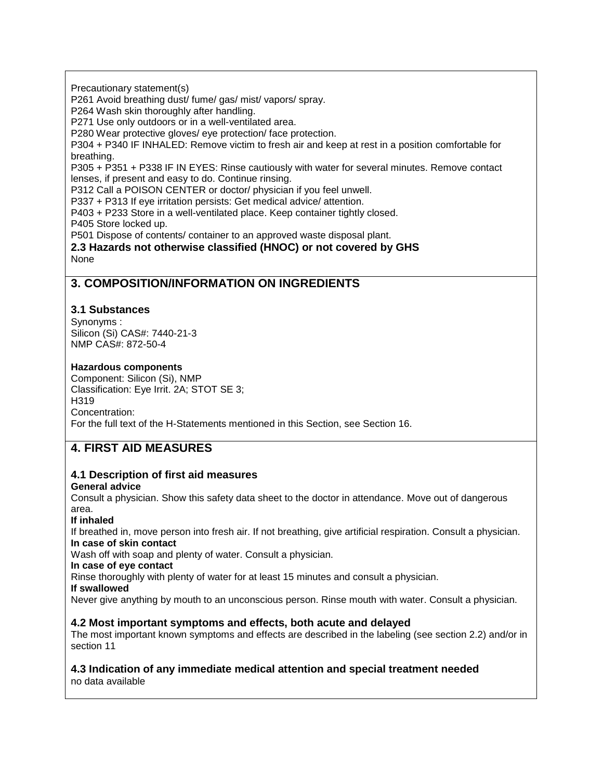Precautionary statement(s)

P261 Avoid breathing dust/ fume/ gas/ mist/ vapors/ spray.

P264 Wash skin thoroughly after handling.

P271 Use only outdoors or in a well-ventilated area.

P280 Wear protective gloves/ eye protection/ face protection.

P304 + P340 IF INHALED: Remove victim to fresh air and keep at rest in a position comfortable for breathing.

P305 + P351 + P338 IF IN EYES: Rinse cautiously with water for several minutes. Remove contact lenses, if present and easy to do. Continue rinsing.

P312 Call a POISON CENTER or doctor/ physician if you feel unwell.

P337 + P313 If eye irritation persists: Get medical advice/ attention.

P403 + P233 Store in a well-ventilated place. Keep container tightly closed.

P405 Store locked up.

P501 Dispose of contents/ container to an approved waste disposal plant.

**2.3 Hazards not otherwise classified (HNOC) or not covered by GHS** None

## **3. COMPOSITION/INFORMATION ON INGREDIENTS**

### **3.1 Substances**

Synonyms : Silicon (Si) CAS#: 7440-21-3 NMP CAS#: 872-50-4

#### **Hazardous components**

Component: Silicon (Si), NMP Classification: Eye Irrit. 2A; STOT SE 3; H319 Concentration: For the full text of the H-Statements mentioned in this Section, see Section 16.

# **4. FIRST AID MEASURES**

# **4.1 Description of first aid measures**

### **General advice**

Consult a physician. Show this safety data sheet to the doctor in attendance. Move out of dangerous area.

### **If inhaled**

If breathed in, move person into fresh air. If not breathing, give artificial respiration. Consult a physician. **In case of skin contact**

Wash off with soap and plenty of water. Consult a physician.

**In case of eye contact**

Rinse thoroughly with plenty of water for at least 15 minutes and consult a physician.

#### **If swallowed**

Never give anything by mouth to an unconscious person. Rinse mouth with water. Consult a physician.

### **4.2 Most important symptoms and effects, both acute and delayed**

The most important known symptoms and effects are described in the labeling (see section 2.2) and/or in section 11

#### **4.3 Indication of any immediate medical attention and special treatment needed** no data available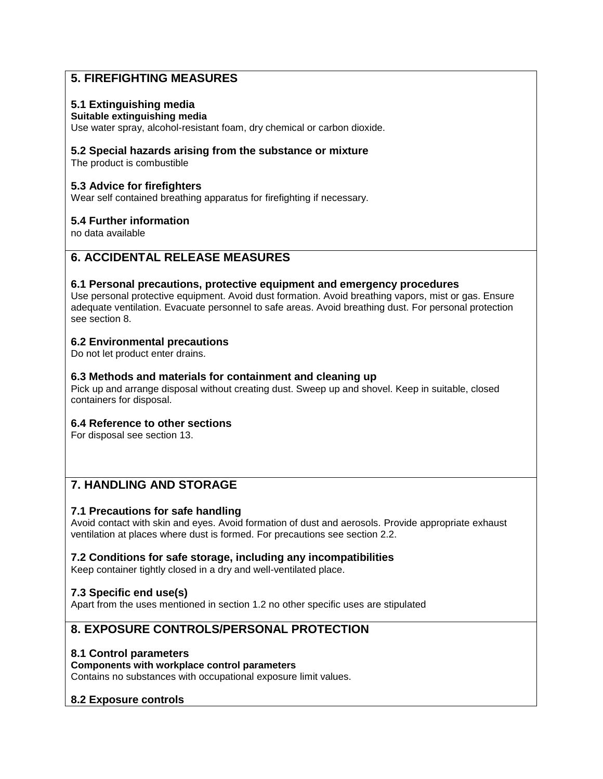# **5. FIREFIGHTING MEASURES**

## **5.1 Extinguishing media**

### **Suitable extinguishing media**

Use water spray, alcohol-resistant foam, dry chemical or carbon dioxide.

### **5.2 Special hazards arising from the substance or mixture**

The product is combustible

### **5.3 Advice for firefighters**

Wear self contained breathing apparatus for firefighting if necessary.

### **5.4 Further information**

no data available

## **6. ACCIDENTAL RELEASE MEASURES**

### **6.1 Personal precautions, protective equipment and emergency procedures**

Use personal protective equipment. Avoid dust formation. Avoid breathing vapors, mist or gas. Ensure adequate ventilation. Evacuate personnel to safe areas. Avoid breathing dust. For personal protection see section 8.

### **6.2 Environmental precautions**

Do not let product enter drains.

### **6.3 Methods and materials for containment and cleaning up**

Pick up and arrange disposal without creating dust. Sweep up and shovel. Keep in suitable, closed containers for disposal.

### **6.4 Reference to other sections**

For disposal see section 13.

# **7. HANDLING AND STORAGE**

## **7.1 Precautions for safe handling**

Avoid contact with skin and eyes. Avoid formation of dust and aerosols. Provide appropriate exhaust ventilation at places where dust is formed. For precautions see section 2.2.

## **7.2 Conditions for safe storage, including any incompatibilities**

Keep container tightly closed in a dry and well-ventilated place.

## **7.3 Specific end use(s)**

Apart from the uses mentioned in section 1.2 no other specific uses are stipulated

# **8. EXPOSURE CONTROLS/PERSONAL PROTECTION**

## **8.1 Control parameters**

**Components with workplace control parameters**

Contains no substances with occupational exposure limit values.

## **8.2 Exposure controls**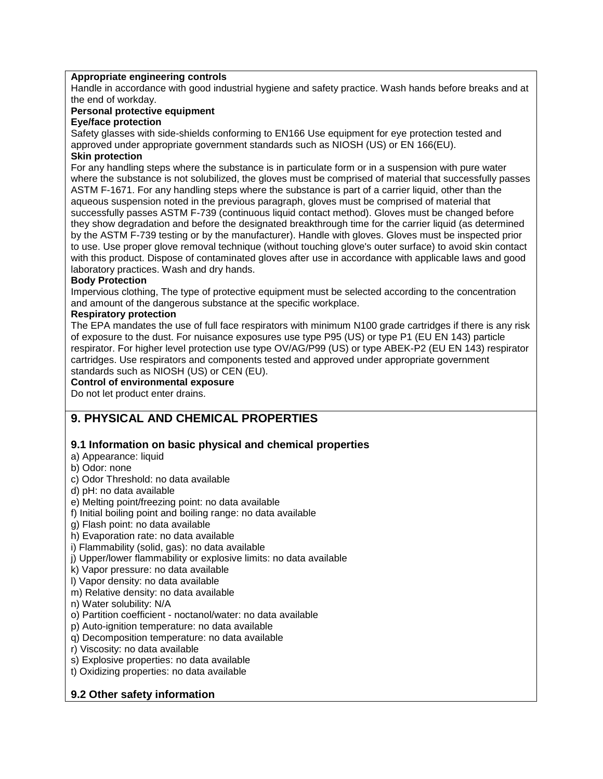#### **Appropriate engineering controls**

Handle in accordance with good industrial hygiene and safety practice. Wash hands before breaks and at the end of workday.

### **Personal protective equipment**

**Eye/face protection**

Safety glasses with side-shields conforming to EN166 Use equipment for eye protection tested and approved under appropriate government standards such as NIOSH (US) or EN 166(EU).

## **Skin protection**

For any handling steps where the substance is in particulate form or in a suspension with pure water where the substance is not solubilized, the gloves must be comprised of material that successfully passes ASTM F-1671. For any handling steps where the substance is part of a carrier liquid, other than the aqueous suspension noted in the previous paragraph, gloves must be comprised of material that successfully passes ASTM F-739 (continuous liquid contact method). Gloves must be changed before they show degradation and before the designated breakthrough time for the carrier liquid (as determined by the ASTM F-739 testing or by the manufacturer). Handle with gloves. Gloves must be inspected prior to use. Use proper glove removal technique (without touching glove's outer surface) to avoid skin contact with this product. Dispose of contaminated gloves after use in accordance with applicable laws and good laboratory practices. Wash and dry hands.

#### **Body Protection**

Impervious clothing, The type of protective equipment must be selected according to the concentration and amount of the dangerous substance at the specific workplace.

#### **Respiratory protection**

The EPA mandates the use of full face respirators with minimum N100 grade cartridges if there is any risk of exposure to the dust. For nuisance exposures use type P95 (US) or type P1 (EU EN 143) particle respirator. For higher level protection use type OV/AG/P99 (US) or type ABEK-P2 (EU EN 143) respirator cartridges. Use respirators and components tested and approved under appropriate government standards such as NIOSH (US) or CEN (EU).

## **Control of environmental exposure**

Do not let product enter drains.

## **9. PHYSICAL AND CHEMICAL PROPERTIES**

### **9.1 Information on basic physical and chemical properties**

- a) Appearance: liquid
- b) Odor: none
- c) Odor Threshold: no data available
- d) pH: no data available
- e) Melting point/freezing point: no data available
- f) Initial boiling point and boiling range: no data available
- g) Flash point: no data available
- h) Evaporation rate: no data available
- i) Flammability (solid, gas): no data available
- j) Upper/lower flammability or explosive limits: no data available
- k) Vapor pressure: no data available
- l) Vapor density: no data available
- m) Relative density: no data available
- n) Water solubility: N/A
- o) Partition coefficient noctanol/water: no data available
- p) Auto-ignition temperature: no data available
- q) Decomposition temperature: no data available
- r) Viscosity: no data available
- s) Explosive properties: no data available
- t) Oxidizing properties: no data available

## **9.2 Other safety information**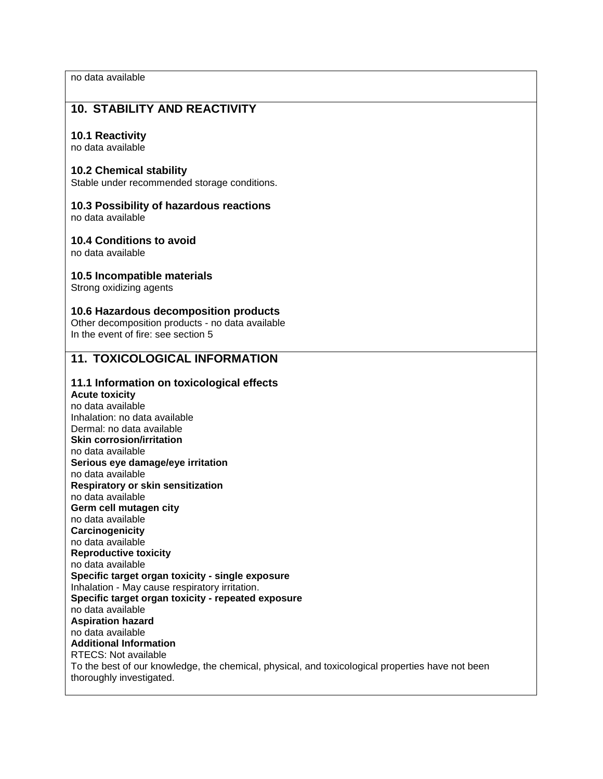no data available

## **10. STABILITY AND REACTIVITY**

#### **10.1 Reactivity**

no data available

#### **10.2 Chemical stability**

Stable under recommended storage conditions.

### **10.3 Possibility of hazardous reactions**

no data available

#### **10.4 Conditions to avoid**

no data available

#### **10.5 Incompatible materials**

Strong oxidizing agents

#### **10.6 Hazardous decomposition products**

Other decomposition products - no data available In the event of fire: see section 5

## **11. TOXICOLOGICAL INFORMATION**

### **11.1 Information on toxicological effects**

**Acute toxicity** no data available Inhalation: no data available Dermal: no data available **Skin corrosion/irritation** no data available **Serious eye damage/eye irritation** no data available **Respiratory or skin sensitization** no data available **Germ cell mutagen city** no data available **Carcinogenicity** no data available **Reproductive toxicity** no data available **Specific target organ toxicity - single exposure** Inhalation - May cause respiratory irritation. **Specific target organ toxicity - repeated exposure** no data available **Aspiration hazard** no data available **Additional Information** RTECS: Not available To the best of our knowledge, the chemical, physical, and toxicological properties have not been thoroughly investigated.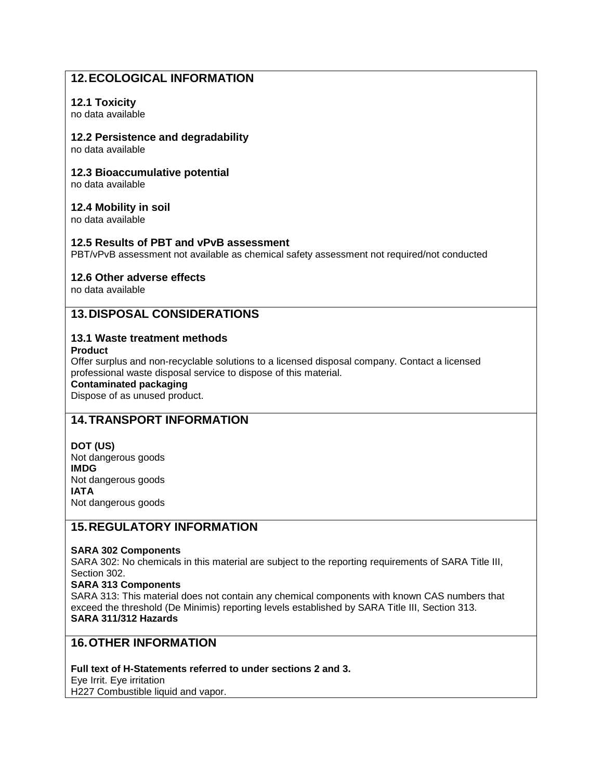# **12.ECOLOGICAL INFORMATION**

## **12.1 Toxicity**

no data available

### **12.2 Persistence and degradability**

no data available

### **12.3 Bioaccumulative potential**

no data available

## **12.4 Mobility in soil**

no data available

### **12.5 Results of PBT and vPvB assessment**

PBT/vPvB assessment not available as chemical safety assessment not required/not conducted

### **12.6 Other adverse effects**

no data available

## **13.DISPOSAL CONSIDERATIONS**

## **13.1 Waste treatment methods**

**Product**

Offer surplus and non-recyclable solutions to a licensed disposal company. Contact a licensed professional waste disposal service to dispose of this material.

### **Contaminated packaging**

Dispose of as unused product.

## **14.TRANSPORT INFORMATION**

## **DOT (US)**

Not dangerous goods **IMDG** Not dangerous goods **IATA** Not dangerous goods

## **15.REGULATORY INFORMATION**

### **SARA 302 Components**

SARA 302: No chemicals in this material are subject to the reporting requirements of SARA Title III, Section 302.

### **SARA 313 Components**

SARA 313: This material does not contain any chemical components with known CAS numbers that exceed the threshold (De Minimis) reporting levels established by SARA Title III, Section 313. **SARA 311/312 Hazards**

## **16.OTHER INFORMATION**

### **Full text of H-Statements referred to under sections 2 and 3.**

Eye Irrit. Eye irritation

H227 Combustible liquid and vapor.